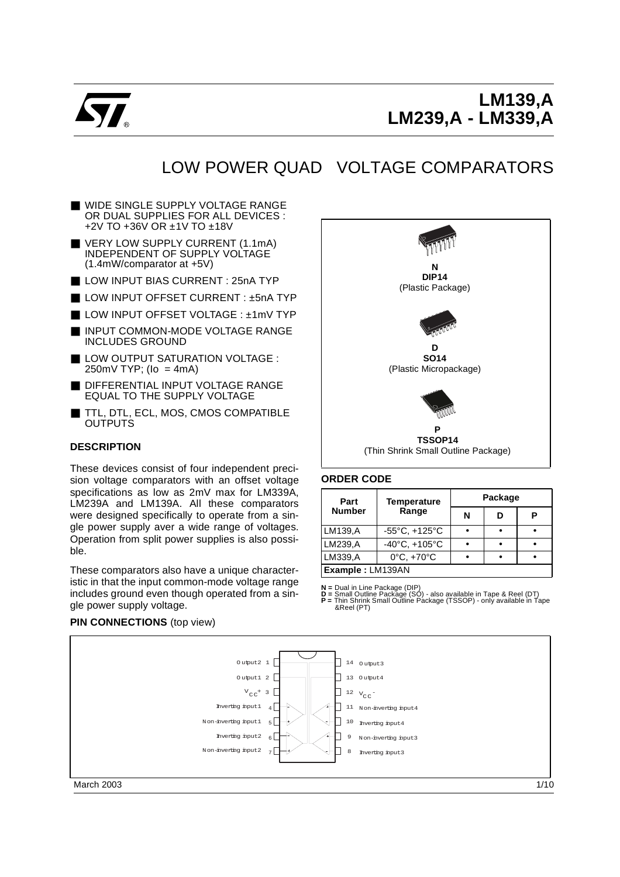

# **LM139,A LM239,A - LM339,A**

# LOW POWER QUAD VOLTAGE COMPARATORS

- WIDE SINGLE SUPPLY VOLTAGE RANGE OR DUAL SUPPLIES FOR ALL DEVICES : +2V TO +36V OR ±1V TO ±18V
- VERY LOW SUPPLY CURRENT (1.1mA) INDEPENDENT OF SUPPLY VOLTAGE (1.4mW/comparator at +5V)
- LOW INPUT BIAS CURRENT : 25nA TYP
- LOW INPUT OFFSET CURRENT : ±5nA TYP
- LOW INPUT OFFSET VOLTAGE : +1mV TYP
- INPUT COMMON-MODE VOLTAGE RANGE INCLUDES GROUND
- LOW OUTPUT SATURATION VOLTAGE :  $250mV$  TYP; (lo = 4mA)
- DIFFERENTIAL INPUT VOLTAGE RANGE EQUAL TO THE SUPPLY VOLTAGE
- TTL, DTL, ECL, MOS, CMOS COMPATIBLE **OUTPUTS**

#### **DESCRIPTION**

These devices consist of four independent precision voltage comparators with an offset voltage specifications as low as 2mV max for LM339A, LM239A and LM139A. All these comparators were designed specifically to operate from a single power supply aver a wide range of voltages. Operation from split power supplies is also possible.

These comparators also have a unique characteristic in that the input common-mode voltage range includes ground even though operated from a single power supply voltage.



#### **ORDER CODE**

| Part             | <b>Temperature</b>                | Package |   |  |  |  |
|------------------|-----------------------------------|---------|---|--|--|--|
| <b>Number</b>    | Range                             | N       | D |  |  |  |
| LM139,A          | $-55^{\circ}$ C, $+125^{\circ}$ C |         |   |  |  |  |
| LM239,A          | $-40^{\circ}$ C, $+105^{\circ}$ C |         |   |  |  |  |
| LM339,A          | $0^{\circ}$ C, $+70^{\circ}$ C    |         |   |  |  |  |
| Example: LM139AN |                                   |         |   |  |  |  |

**N =** Dual in Line Package (DIP)<br>**D =** Small Outline Package (SO) - also available in Tape & Reel (DT)  $\mathbf{F} = \text{d}$  and but the Fackage ( $\infty$ y - also available in Tape & Reel (DT)<br> $\mathbf{F} = \text{This Shink Small Outline Package (TSSOP) - only available in Tape  
Rekel (PT)$ 



#### **PIN CONNECTIONS** (top view)

March 2003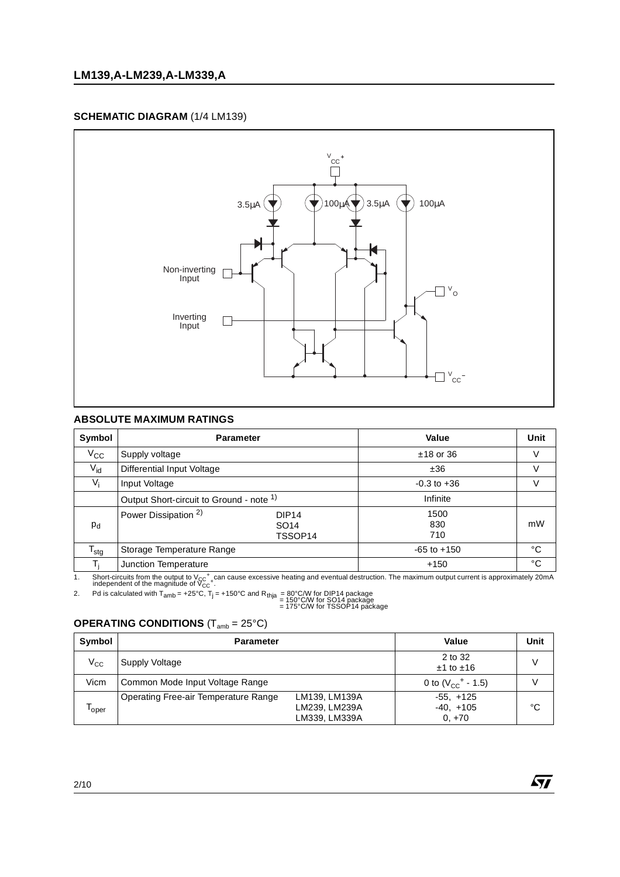### **SCHEMATIC DIAGRAM** (1/4 LM139)



### **ABSOLUTE MAXIMUM RATINGS**

| Symbol           | <b>Parameter</b>                                                                    | Value              | <b>Unit</b> |
|------------------|-------------------------------------------------------------------------------------|--------------------|-------------|
| $V_{\rm CC}$     | Supply voltage                                                                      | $±18$ or 36        | V           |
| $V_{\text{id}}$  | Differential Input Voltage                                                          | ±36                | V           |
| $V_i$            | Input Voltage                                                                       | $-0.3$ to $+36$    | V           |
|                  | Output Short-circuit to Ground - note <sup>1)</sup>                                 | Infinite           |             |
| $P_{d}$          | Power Dissipation <sup>2)</sup><br>DIP <sub>14</sub><br>SO <sub>14</sub><br>TSSOP14 | 1500<br>830<br>710 | mW          |
| $T_{\text{stg}}$ | Storage Temperature Range                                                           | $-65$ to $+150$    | °C          |
|                  | Junction Temperature                                                                | $+150$             | °C          |

1. Short-circuits from the output to  $V_{CC}^+$  can cause excessive heating and eventual destruction. The maximum output current is approximately 20mA independent of the magnitude of  $V_{CC}^+$ .

2. Pd is calculated with Tamb = +25°C, Tj = +150°C and Rthja = 80°C/W for DIP14 package = 150°C/W for SO14 package = 175°C/W for TSSOP14 package

## **OPERATING CONDITIONS** (T<sub>amb</sub> = 25°C)

| Symbol       | <b>Parameter</b>                                                                        | Value                                   | <b>Unit</b> |
|--------------|-----------------------------------------------------------------------------------------|-----------------------------------------|-------------|
| $V_{\rm CC}$ | Supply Voltage                                                                          | 2 to 32<br>$±1$ to $±16$                | V           |
| Vicm         | Common Mode Input Voltage Range                                                         | 0 to $(V_{CC}^+ - 1.5)$                 |             |
| oper         | LM139, LM139A<br>Operating Free-air Temperature Range<br>LM239, LM239A<br>LM339, LM339A | $-55, +125$<br>$-40, +105$<br>$0. + 70$ | °C          |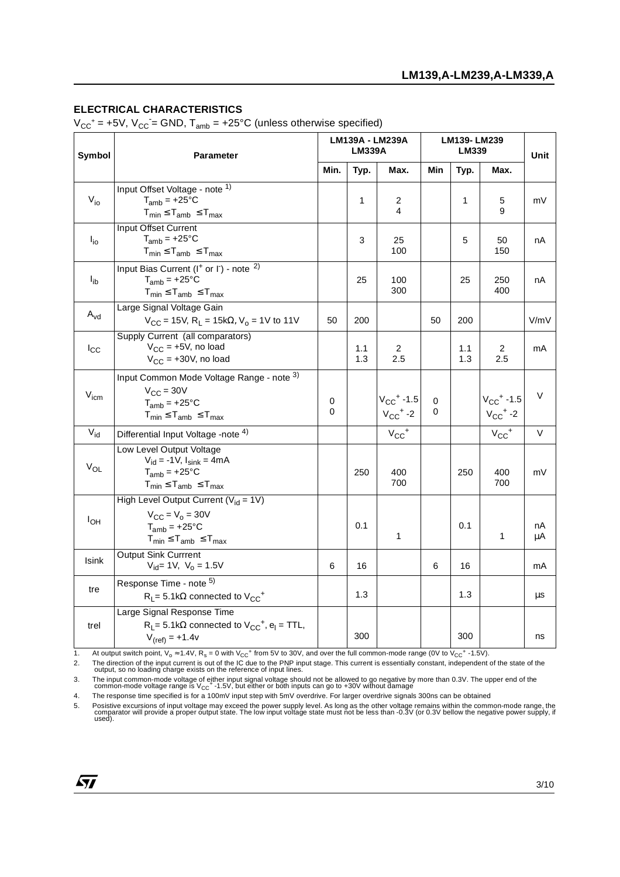#### **ELECTRICAL CHARACTERISTICS**

 $V_{CC}^+$  = +5V,  $V_{CC}$  = GND,  $T_{amb}$  = +25°C (unless otherwise specified)

| Symbol                     | <b>Parameter</b>                                                                                                                  |        | LM139A - LM239A<br><b>LM339A</b> |                                                        |                  | LM139-LM239<br>LM339 |                                                        |          |
|----------------------------|-----------------------------------------------------------------------------------------------------------------------------------|--------|----------------------------------|--------------------------------------------------------|------------------|----------------------|--------------------------------------------------------|----------|
|                            |                                                                                                                                   |        | Typ.                             | Max.                                                   | Min              | Typ.                 | Max.                                                   |          |
| $V_{io}$                   | Input Offset Voltage - note 1)<br>$T_{amb}$ = +25 $\degree$ C<br>$T_{min} \leq T_{amb} \leq T_{max}$                              |        | 1                                | 2<br>4                                                 |                  | 1                    | 5<br>9                                                 | mV       |
| $I_{io}$                   | Input Offset Current<br>$T_{amb}$ = +25°C<br>$T_{min} \leq T_{amb} \leq T_{max}$                                                  |        | 3                                | 25<br>100                                              |                  | 5                    | 50<br>150                                              | nA       |
| $I_{ib}$                   | Input Bias Current ( $I^+$ or $I^-$ ) - note $^{2)}$<br>$T_{amb}$ = +25°C<br>$T_{min} \leq T_{amb} \leq T_{max}$                  |        | 25                               | 100<br>300                                             |                  | 25                   | 250<br>400                                             | nA       |
| $\mathsf{A}_{\mathsf{vd}}$ | Large Signal Voltage Gain<br>$V_{CC}$ = 15V, R <sub>L</sub> = 15k $\Omega$ , V <sub>o</sub> = 1V to 11V                           | 50     | 200                              |                                                        | 50               | 200                  |                                                        | V/mV     |
| $I_{\rm CC}$               | Supply Current (all comparators)<br>$V_{CC}$ = +5V, no load<br>$V_{CC}$ = +30V, no load                                           |        | 1.1<br>1.3                       | 2<br>2.5                                               |                  | 1.1<br>1.3           | 2<br>2.5                                               | mA       |
| V <sub>icm</sub>           | Input Common Mode Voltage Range - note 3)<br>$V_{\text{CC}} = 30V$<br>$T_{amb}$ = +25°C<br>$T_{min} \leq T_{amb} \leq T_{max}$    | 0<br>0 |                                  | $V_{CC}$ <sup>+</sup> -1.5<br>$V_{CC}$ <sup>+</sup> -2 | $\mathbf 0$<br>0 |                      | $V_{CC}$ <sup>+</sup> -1.5<br>$V_{CC}$ <sup>+</sup> -2 | V        |
| $V_{\text{id}}$            | Differential Input Voltage -note <sup>4)</sup>                                                                                    |        |                                  | $V_{CC}$ <sup>+</sup>                                  |                  |                      | $V_{CC}$ <sup>+</sup>                                  | $\vee$   |
| $V_{OL}$                   | Low Level Output Voltage<br>$V_{\rm id} = -1V$ , $I_{\rm sink} = 4mA$<br>$T_{amb}$ = +25°C<br>$T_{min} \leq T_{amb} \leq T_{max}$ |        | 250                              | 400<br>700                                             |                  | 250                  | 400<br>700                                             | mV       |
| $I_{OH}$                   | High Level Output Current ( $V_{id} = 1V$ )<br>$V_{CC} = V_0 = 30V$<br>$T_{amb}$ = +25°C<br>$T_{min} \leq T_{amb} \leq T_{max}$   |        | 0.1                              | 1                                                      |                  | 0.1                  | 1                                                      | nA<br>μA |
| <b>Isink</b>               | Output Sink Currrent<br>$V_{\text{id}} = 1V$ , $V_0 = 1.5V$                                                                       | 6      | 16                               |                                                        | 6                | 16                   |                                                        | mA       |
| tre                        | Response Time - note <sup>5)</sup><br>$R_L$ = 5.1k $\Omega$ connected to $V_{CC}^+$                                               |        | 1.3                              |                                                        |                  | 1.3                  |                                                        | μs       |
| trel                       | Large Signal Response Time<br>$R_L$ = 5.1k $\Omega$ connected to $V_{CC}^+$ , $e_l$ = TTL,<br>$V_{(ref)} = +1.4v$                 |        | 300                              |                                                        |                  | 300                  |                                                        | ns       |

1. At output switch point,  $V_0 \approx 1.4V$ ,  $R_s = 0$  with  $V_{CC}^+$  from 5V to 30V, and over the full common-mode range (0V to  $V_{CC}^+$  -1.5V).<br>2. The direction of the input current is out of the IC due to the PNP input stage. 2. The direction of the input current is out of the IC due to the PNP input stage. This current is essentially constant, independent of the state of the output, so no loading charge exists on the reference of input lines.

3. The input common-mode voltage of either input signal voltage should not be allowed to go negative by more than 0.3V. The upper end of the<br>common-mode voltage range is V<sub>CC</sub>+-1.5V, but either or both inputs can go to +3

4. The response time specified is for a 100mV input step with 5mV overdrive. For larger overdrive signals 300ns can be obtained

5. Posistive excursions of input voltage may exceed the power supply level. As long as the other voltage remains within the common-mode range, the<br>comparator will provide a proper output state. The low input voltage state

 $\sqrt{27}$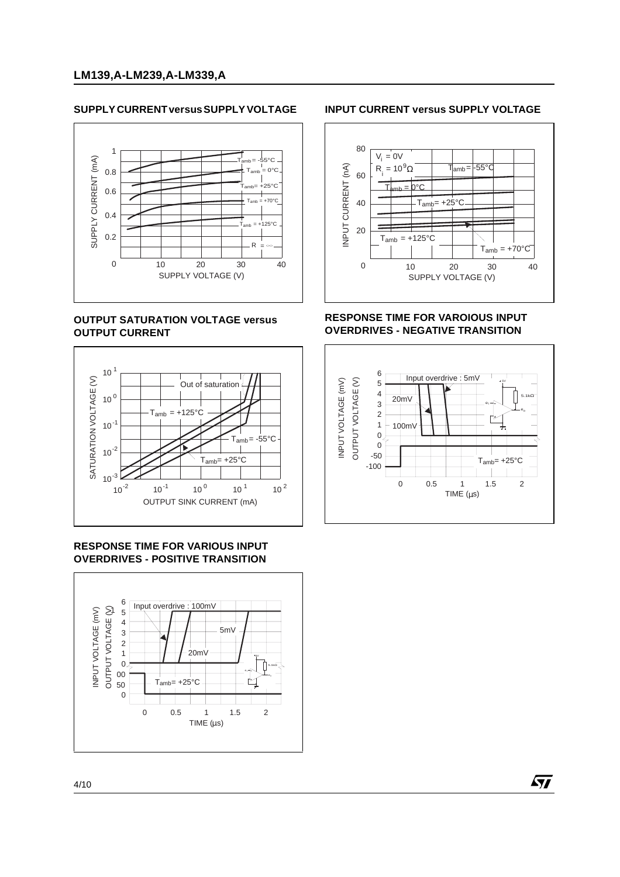## **SUPPLY CURRENT versus SUPPLY VOLTAGE**



## **OUTPUT SATURATION VOLTAGE versus OUTPUT CURRENT**



#### **RESPONSE TIME FOR VARIOUS INPUT OVERDRIVES - POSITIVE TRANSITION**



#### **INPUT CURRENT versus SUPPLY VOLTAGE**



#### **RESPONSE TIME FOR VAROIOUS INPUT OVERDRIVES - NEGATIVE TRANSITION**



57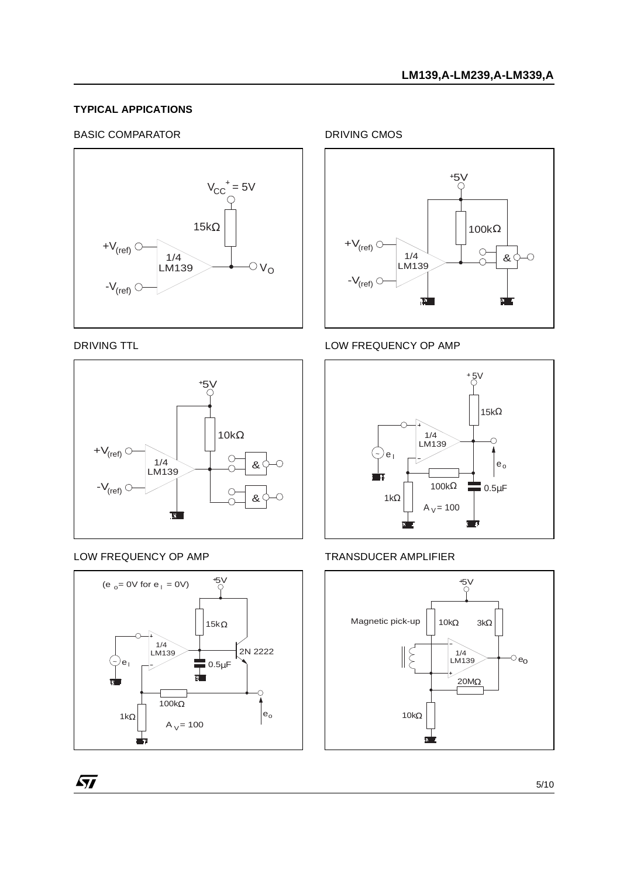### **TYPICAL APPICATIONS**

#### BASIC COMPARATOR



#### DRIVING TTL



#### LOW FREQUENCY OP AMP

 $\sqrt{27}$ 



DRIVING CMOS



## LOW FREQUENCY OP AMP



#### TRANSDUCER AMPLIFIER



5/10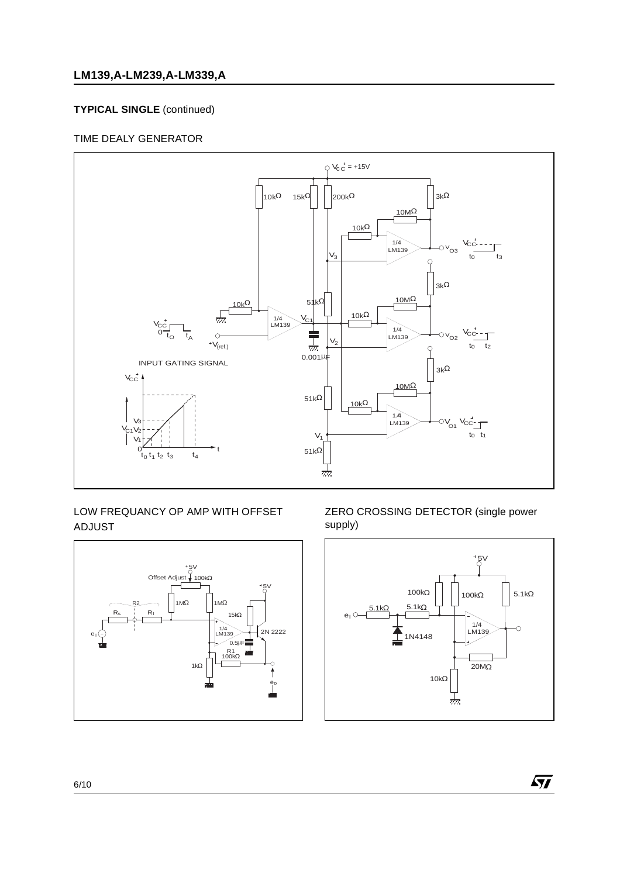## **LM139,A-LM239,A-LM339,A**

## **TYPICAL SINGLE** (continued)

## TIME DEALY GENERATOR



## LOW FREQUANCY OP AMP WITH OFFSET ADJUST



#### ZERO CROSSING DETECTOR (single power supply)



 $\sqrt{27}$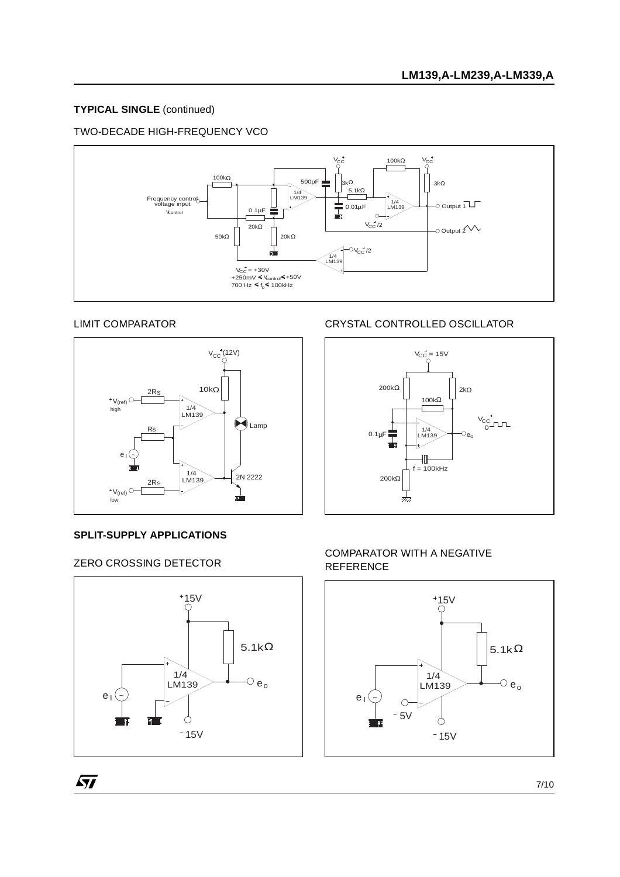## **TYPICAL SINGLE** (continued)

## TWO-DECADE HIGH-FREQUENCY VCO



#### LIMIT COMPARATOR



#### **SPLIT-SUPPLY APPLICATIONS**

## ZERO CROSSING DETECTOR



## CRYSTAL CONTROLLED OSCILLATOR



## COMPARATOR WITH A NEGATIVE REFERENCE

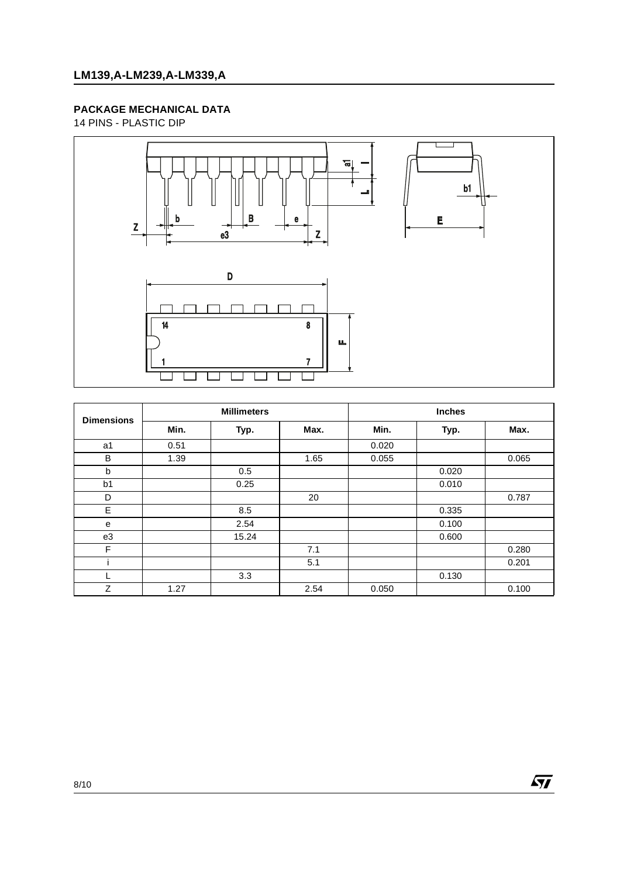## **PACKAGE MECHANICAL DATA**

14 PINS - PLASTIC DIP



| <b>Dimensions</b> | <b>Millimeters</b> |       |      | <b>Inches</b> |       |       |  |
|-------------------|--------------------|-------|------|---------------|-------|-------|--|
|                   | Min.               | Typ.  | Max. | Min.          | Typ.  | Max.  |  |
| a1                | 0.51               |       |      | 0.020         |       |       |  |
| B                 | 1.39               |       | 1.65 | 0.055         |       | 0.065 |  |
| b                 |                    | 0.5   |      |               | 0.020 |       |  |
| b <sub>1</sub>    |                    | 0.25  |      |               | 0.010 |       |  |
| D                 |                    |       | 20   |               |       | 0.787 |  |
| E                 |                    | 8.5   |      |               | 0.335 |       |  |
| e                 |                    | 2.54  |      |               | 0.100 |       |  |
| e3                |                    | 15.24 |      |               | 0.600 |       |  |
| F                 |                    |       | 7.1  |               |       | 0.280 |  |
|                   |                    |       | 5.1  |               |       | 0.201 |  |
|                   |                    | 3.3   |      |               | 0.130 |       |  |
| Z                 | 1.27               |       | 2.54 | 0.050         |       | 0.100 |  |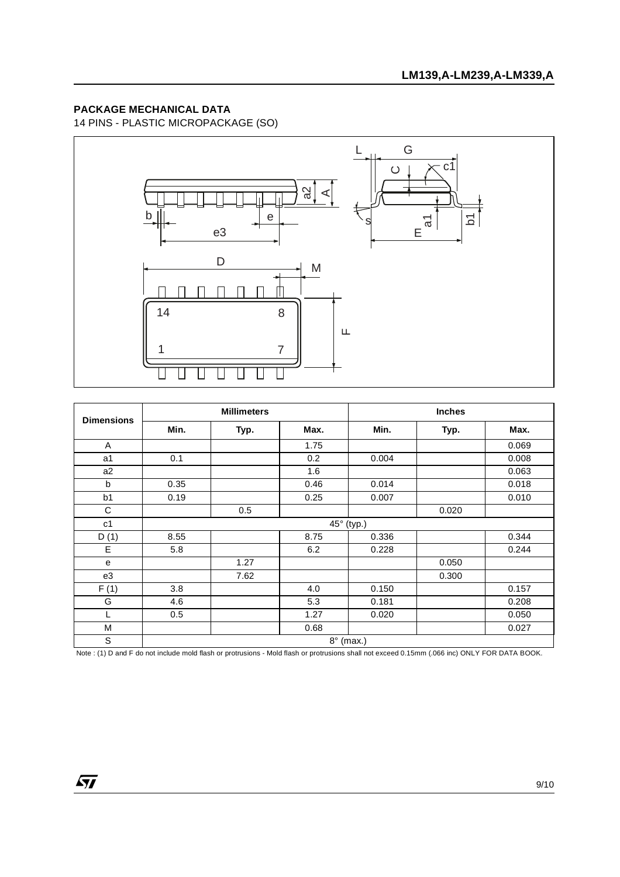## **PACKAGE MECHANICAL DATA**

14 PINS - PLASTIC MICROPACKAGE (SO)



| <b>Dimensions</b> | <b>Millimeters</b> |      |      | <b>Inches</b> |       |       |  |
|-------------------|--------------------|------|------|---------------|-------|-------|--|
|                   | Min.               | Typ. | Max. | Min.          | Typ.  | Max.  |  |
| A                 |                    |      | 1.75 |               |       | 0.069 |  |
| a1                | 0.1                |      | 0.2  | 0.004         |       | 0.008 |  |
| a2                |                    |      | 1.6  |               |       | 0.063 |  |
| b                 | 0.35               |      | 0.46 | 0.014         |       | 0.018 |  |
| b <sub>1</sub>    | 0.19               |      | 0.25 | 0.007         |       | 0.010 |  |
| C                 |                    | 0.5  |      |               | 0.020 |       |  |
| c <sub>1</sub>    |                    |      |      | 45° (typ.)    |       |       |  |
| D(1)              | 8.55               |      | 8.75 | 0.336         |       | 0.344 |  |
| E                 | 5.8                |      | 6.2  | 0.228         |       | 0.244 |  |
| е                 |                    | 1.27 |      |               | 0.050 |       |  |
| e3                |                    | 7.62 |      |               | 0.300 |       |  |
| F(1)              | 3.8                |      | 4.0  | 0.150         |       | 0.157 |  |
| G                 | 4.6                |      | 5.3  | 0.181         |       | 0.208 |  |
|                   | 0.5                |      | 1.27 | 0.020         |       | 0.050 |  |
| M                 |                    |      | 0.68 |               |       | 0.027 |  |
| S                 | $8^\circ$ (max.)   |      |      |               |       |       |  |

Note : (1) D and F do not include mold flash or protrusions - Mold flash or protrusions shall not exceed 0.15mm (.066 inc) ONLY FOR DATA BOOK.

 $\overline{SI}$